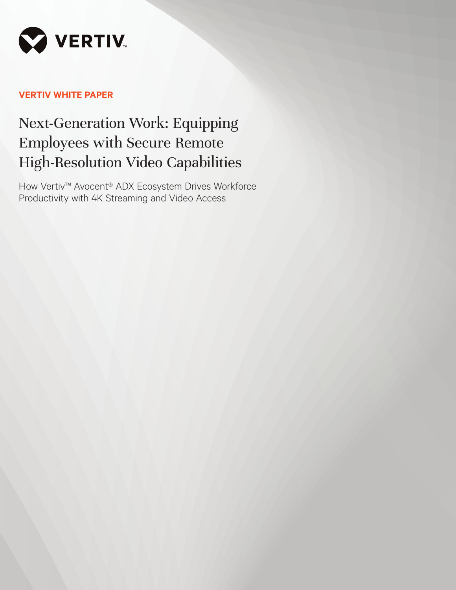

# **VERTIV WHITE PAPER**

# Next-Generation Work: Equipping Employees with Secure Remote High-Resolution Video Capabilities

How Vertiv™ Avocent® ADX Ecosystem Drives Workforce Productivity with 4K Streaming and Video Access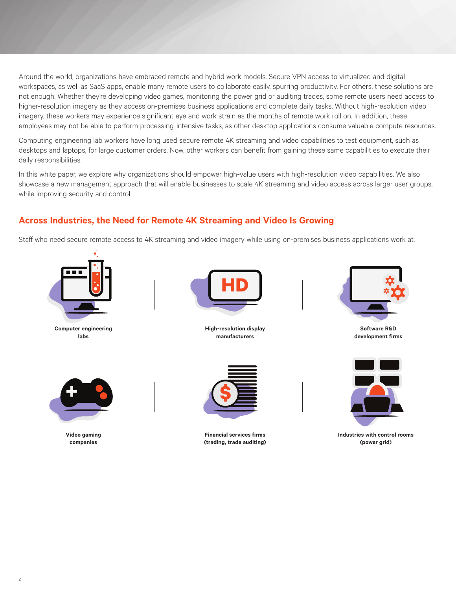Around the world, organizations have embraced remote and hybrid work models. Secure VPN access to virtualized and digital workspaces, as well as SaaS apps, enable many remote users to collaborate easily, spurring productivity. For others, these solutions are not enough. Whether they're developing video games, monitoring the power grid or auditing trades, some remote users need access to higher-resolution imagery as they access on-premises business applications and complete daily tasks. Without high-resolution video imagery, these workers may experience significant eye and work strain as the months of remote work roll on. In addition, these employees may not be able to perform processing-intensive tasks, as other desktop applications consume valuable compute resources.

Computing engineering lab workers have long used secure remote 4K streaming and video capabilities to test equipment, such as desktops and laptops, for large customer orders. Now, other workers can benefit from gaining these same capabilities to execute their daily responsibilities.

In this white paper, we explore why organizations should empower high-value users with high-resolution video capabilities. We also showcase a new management approach that will enable businesses to scale 4K streaming and video access across larger user groups, while improving security and control.

## **Across Industries, the Need for Remote 4K Streaming and Video Is Growing**

Staff who need secure remote access to 4K streaming and video imagery while using on-premises business applications work at:



**Computer engineering labs**



**High-resolution display manufacturers** 



**Software R&D development firms**



**Video gaming companies** 



**Financial services firms (trading, trade auditing)**



**Industries with control rooms (power grid)**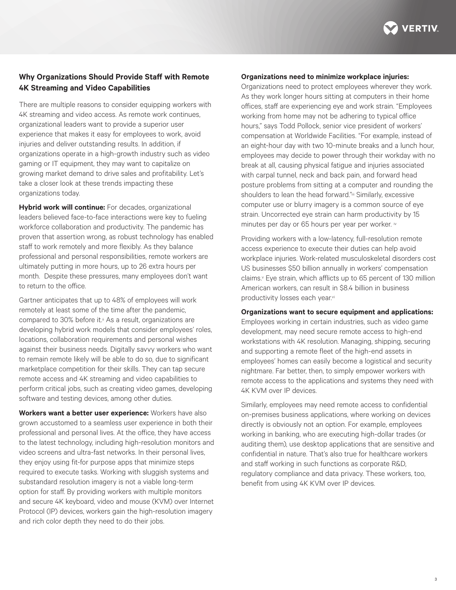

## **Why Organizations Should Provide Staff with Remote 4K Streaming and Video Capabilities**

There are multiple reasons to consider equipping workers with 4K streaming and video access. As remote work continues, organizational leaders want to provide a superior user experience that makes it easy for employees to work, avoid injuries and deliver outstanding results. In addition, if organizations operate in a high-growth industry such as video gaming or IT equipment, they may want to capitalize on growing market demand to drive sales and profitability. Let's take a closer look at these trends impacting these organizations today.

**Hybrid work will continue:** For decades, organizational leaders believed face-to-face interactions were key to fueling workforce collaboration and productivity. The pandemic has proven that assertion wrong, as robust technology has enabled staff to work remotely and more flexibly. As they balance professional and personal responsibilities, remote workers are ultimately putting in more hours, up to 26 extra hours per month. Despite these pressures, many employees don't want to return to the office.

Gartner anticipates that up to 48% of employees will work remotely at least some of the time after the pandemic, compared to 30% before it.<sup>ii</sup> As a result, organizations are developing hybrid work models that consider employees' roles, locations, collaboration requirements and personal wishes against their business needs. Digitally savvy workers who want to remain remote likely will be able to do so, due to significant marketplace competition for their skills. They can tap secure remote access and 4K streaming and video capabilities to perform critical jobs, such as creating video games, developing software and testing devices, among other duties.

**Workers want a better user experience:** Workers have also grown accustomed to a seamless user experience in both their professional and personal lives. At the office, they have access to the latest technology, including high-resolution monitors and video screens and ultra-fast networks. In their personal lives, they enjoy using fit-for purpose apps that minimize steps required to execute tasks. Working with sluggish systems and substandard resolution imagery is not a viable long-term option for staff. By providing workers with multiple monitors and secure 4K keyboard, video and mouse (KVM) over Internet Protocol (IP) devices, workers gain the high-resolution imagery and rich color depth they need to do their jobs.

#### **Organizations need to minimize workplace injuries:**

Organizations need to protect employees wherever they work. As they work longer hours sitting at computers in their home offices, staff are experiencing eye and work strain. "Employees working from home may not be adhering to typical office hours," says Todd Pollock, senior vice president of workers' compensation at Worldwide Facilities. "For example, instead of an eight-hour day with two 10-minute breaks and a lunch hour, employees may decide to power through their workday with no break at all, causing physical fatigue and injuries associated with carpal tunnel, neck and back pain, and forward head posture problems from sitting at a computer and rounding the shoulders to lean the head forward."iii Similarly, excessive computer use or blurry imagery is a common source of eye strain. Uncorrected eye strain can harm productivity by 15 minutes per day or 65 hours per year per worker. iv

Providing workers with a low-latency, full-resolution remote access experience to execute their duties can help avoid workplace injuries. Work-related musculoskeletal disorders cost US businesses \$50 billion annually in workers' compensation claims.v Eye strain, which afflicts up to 65 percent of 130 million American workers, can result in \$8.4 billion in business productivity losses each year.vi

#### **Organizations want to secure equipment and applications:**

Employees working in certain industries, such as video game development, may need secure remote access to high-end workstations with 4K resolution. Managing, shipping, securing and supporting a remote fleet of the high-end assets in employees' homes can easily become a logistical and security nightmare. Far better, then, to simply empower workers with remote access to the applications and systems they need with 4K KVM over IP devices.

Similarly, employees may need remote access to confidential on-premises business applications, where working on devices directly is obviously not an option. For example, employees working in banking, who are executing high-dollar trades (or auditing them), use desktop applications that are sensitive and confidential in nature. That's also true for healthcare workers and staff working in such functions as corporate R&D, regulatory compliance and data privacy. These workers, too, benefit from using 4K KVM over IP devices.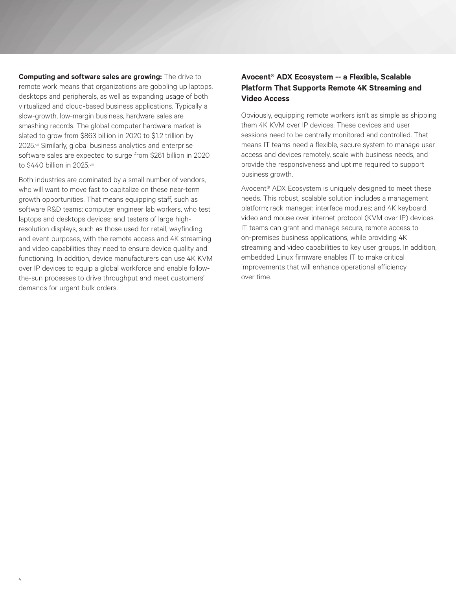**Computing and software sales are growing:** The drive to remote work means that organizations are gobbling up laptops, desktops and peripherals, as well as expanding usage of both virtualized and cloud-based business applications. Typically a slow-growth, low-margin business, hardware sales are smashing records. The global computer hardware market is slated to grow from \$863 billion in 2020 to \$1.2 trillion by 2025.vii Similarly, global business analytics and enterprise software sales are expected to surge from \$261 billion in 2020 to \$440 billion in 2025.viii

Both industries are dominated by a small number of vendors, who will want to move fast to capitalize on these near-term growth opportunities. That means equipping staff, such as software R&D teams; computer engineer lab workers, who test laptops and desktops devices; and testers of large highresolution displays, such as those used for retail, wayfinding and event purposes, with the remote access and 4K streaming and video capabilities they need to ensure device quality and functioning. In addition, device manufacturers can use 4K KVM over IP devices to equip a global workforce and enable followthe-sun processes to drive throughput and meet customers' demands for urgent bulk orders.

4

## **Avocent® ADX Ecosystem -- a Flexible, Scalable Platform That Supports Remote 4K Streaming and Video Access**

Obviously, equipping remote workers isn't as simple as shipping them 4K KVM over IP devices. These devices and user sessions need to be centrally monitored and controlled. That means IT teams need a flexible, secure system to manage user access and devices remotely, scale with business needs, and provide the responsiveness and uptime required to support business growth.

Avocent® ADX Ecosystem is uniquely designed to meet these needs. This robust, scalable solution includes a management platform; rack manager; interface modules; and 4K keyboard, video and mouse over internet protocol (KVM over IP) devices. IT teams can grant and manage secure, remote access to on-premises business applications, while providing 4K streaming and video capabilities to key user groups. In addition, embedded Linux firmware enables IT to make critical improvements that will enhance operational efficiency over time.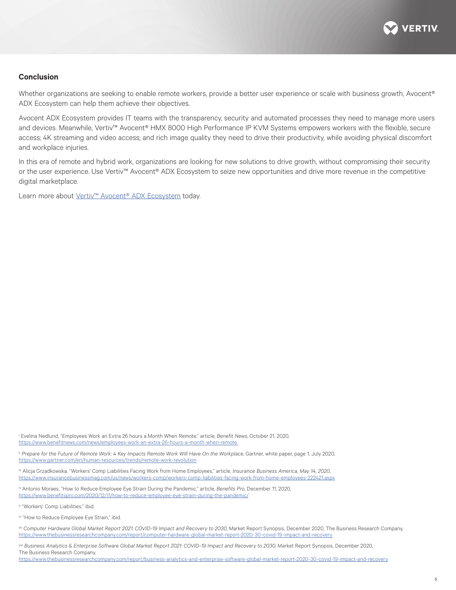

#### **Conclusion**

Whether organizations are seeking to enable remote workers, provide a better user experience or scale with business growth, Avocent® ADX Ecosystem can help them achieve their objectives.

Avocent ADX Ecosystem provides IT teams with the transparency, security and automated processes they need to manage more users and devices. Meanwhile, Vertiv™ Avocent® HMX 8000 High Performance IP KVM Systems empowers workers with the flexible, secure access; 4K streaming and video access; and rich image quality they need to drive their productivity, while avoiding physical discomfort and workplace injuries.

In this era of remote and hybrid work, organizations are looking for new solutions to drive growth, without compromising their security or the user experience. Use Vertiv™ Avocent® ADX Ecosystem to seize new opportunities and drive more revenue in the competitive digital marketplace.

Learn more about [Vertiv™ Avocent® ADX Ecosystem](https://www.vertiv.com/en-us/products/monitoring-control--management/vertiv-avocent-adx-ecosystem/) today.

i Evelina Nedlund, "Employees Work an Extra 26 hours a Month When Remote," article, *Benefit News*, October 21, 2020, [https://www.benefitnews.com/news/employees-work-an-extra-26-hours-a-month-when-remote](https://www.benefitnews.com/news/employees-work-an-extra-26-hours-a-month-when-remote ) 

ii Prepare for the Future of Remote Work: 4 Key Impacts Remote Work Will Have On the Workplace, Gartner, white paper, page 1, July 2020, <https://www.gartner.com/en/human-resources/trends/remote-work-revolution>

iii Alicja Grzadkowska, "Workers' Comp Liabilities Facing Work from Home Employees," article, *Insurance Business America, May 14, 2020*, [https://www.insurancebusinessmag.com/us/news/workers-comp/workers-comp-liabilities-facing-work-from-home-employees-222421.aspx](https://www.insurancebusinessmag.com/us/news/workers-comp/workers-comp-liabilities-facing-work-from-)

iv Antonio Moraes, "How to Reduce Employee Eye Strain During the Pandemic," article, *Benefits Pro*, December 11, 2020, <https://www.benefitspro.com/2020/12/11/how-to-reduce-employee-eye-strain-during-the-pandemic/>

v "Workers' Comp Liabilities," ibid.

vi "How to Reduce Employee Eye Strain," ibid.

vii *Computer Hardware Global Market Report 2021: COVID-19 Impact and Recovery to 2030*, Market Report Synopsis, December 2020, The Business Research Company, [https://www.thebusinessresearchcompany.com/report/computer-hardware-global-market-report-2020-30-covid-19-impact-and-recovery](https://www.thebusinessresearchcompany.com/report/computer-hardware-global-market-report-2020-30-cov)

viii *Business Analytics & Enterprise Software Global Market Report 2021: COVID-19 Impact and Recovery to 2030*, Market Report Synopsis, December 2020, The Business Research Company,

[https://www.thebusinessresearchcompany.com/report/business-analytics-and-enterprise-software-global-market-report-2020-30-covid-19-impact-and-recovery](https://www.thebusinessresearchcompany.com/report/business-analytics-and-enterprise-software-global-)